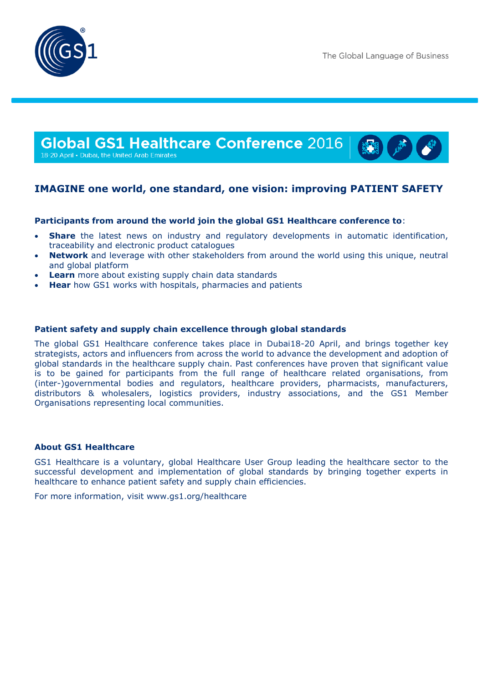



18-20 April • Dubai, the United Arab Emirates

## **IMAGINE one world, one standard, one vision: improving PATIENT SAFETY**

### **Participants from around the world join the global GS1 Healthcare conference to**:

- **Share** the latest news on industry and regulatory developments in automatic identification, traceability and electronic product catalogues
- **Network** and leverage with other stakeholders from around the world using this unique, neutral and global platform
- **Learn** more about existing supply chain data standards
- **Hear** how GS1 works with hospitals, pharmacies and patients

#### **Patient safety and supply chain excellence through global standards**

The global GS1 Healthcare conference takes place in Dubai18-20 April, and brings together key strategists, actors and influencers from across the world to advance the development and adoption of global standards in the healthcare supply chain. Past conferences have proven that significant value is to be gained for participants from the full range of healthcare related organisations, from (inter-)governmental bodies and regulators, healthcare providers, pharmacists, manufacturers, distributors & wholesalers, logistics providers, industry associations, and the GS1 Member Organisations representing local communities.

#### **About GS1 Healthcare**

GS1 Healthcare is a voluntary, global Healthcare User Group leading the healthcare sector to the successful development and implementation of global standards by bringing together experts in healthcare to enhance patient safety and supply chain efficiencies.

For more information, visit www.gs1.org/healthcare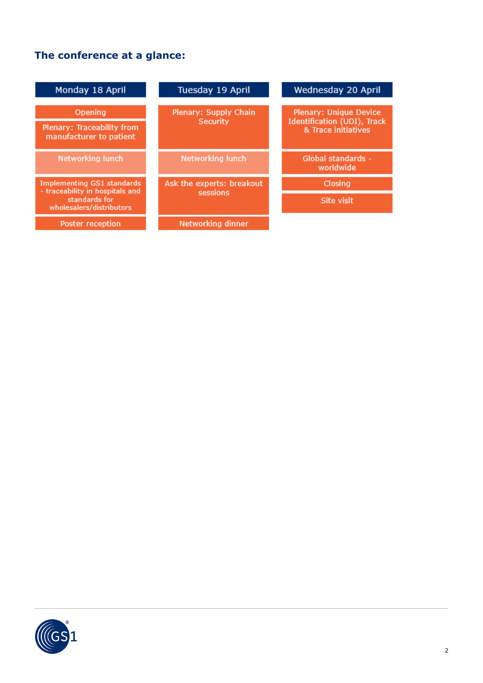# **The conference at a glance:**

| Monday 18 April                                                      | Tuesday 19 April                  | Wednesday 20 April                                                                  |
|----------------------------------------------------------------------|-----------------------------------|-------------------------------------------------------------------------------------|
| Opening<br>Plenary: Traceability from<br>manufacturer to patient     | Plenary: Supply Chain<br>Security | <b>Plenary: Unique Device</b><br>Identification (UDI), Track<br>& Trace initiatives |
| Networking lunch                                                     | <b>Networking lunch</b>           | Global standards -<br>worldwide                                                     |
| <b>Implementing GS1 standards</b><br>- traceability in hospitals and | Ask the experts: breakout         | Closing                                                                             |
| standards for<br>wholesalers/distributors                            | sessions                          | Site visit                                                                          |
| <b>Poster reception</b>                                              | Networking dinner                 |                                                                                     |

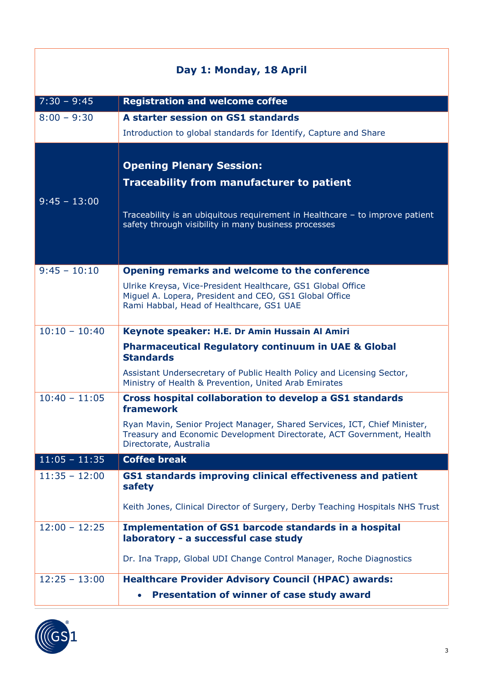| Day 1: Monday, 18 April |                                                                                                                                                                                                                             |
|-------------------------|-----------------------------------------------------------------------------------------------------------------------------------------------------------------------------------------------------------------------------|
| $7:30 - 9:45$           | <b>Registration and welcome coffee</b>                                                                                                                                                                                      |
| $8:00 - 9:30$           | A starter session on GS1 standards                                                                                                                                                                                          |
|                         | Introduction to global standards for Identify, Capture and Share                                                                                                                                                            |
| $9:45 - 13:00$          | <b>Opening Plenary Session:</b><br><b>Traceability from manufacturer to patient</b><br>Traceability is an ubiquitous requirement in Healthcare - to improve patient<br>safety through visibility in many business processes |
|                         |                                                                                                                                                                                                                             |
| $9:45 - 10:10$          | Opening remarks and welcome to the conference                                                                                                                                                                               |
|                         | Ulrike Kreysa, Vice-President Healthcare, GS1 Global Office<br>Miguel A. Lopera, President and CEO, GS1 Global Office<br>Rami Habbal, Head of Healthcare, GS1 UAE                                                           |
| $10:10 - 10:40$         | Keynote speaker: H.E. Dr Amin Hussain Al Amiri                                                                                                                                                                              |
|                         | <b>Pharmaceutical Regulatory continuum in UAE &amp; Global</b><br><b>Standards</b>                                                                                                                                          |
|                         | Assistant Undersecretary of Public Health Policy and Licensing Sector,<br>Ministry of Health & Prevention, United Arab Emirates                                                                                             |
| $10:40 - 11:05$         | Cross hospital collaboration to develop a GS1 standards<br>framework                                                                                                                                                        |
|                         | Ryan Mavin, Senior Project Manager, Shared Services, ICT, Chief Minister,<br>Treasury and Economic Development Directorate, ACT Government, Health<br>Directorate, Australia                                                |
| $11:05 - 11:35$         | <b>Coffee break</b>                                                                                                                                                                                                         |
| $11:35 - 12:00$         | GS1 standards improving clinical effectiveness and patient<br>safety                                                                                                                                                        |
|                         | Keith Jones, Clinical Director of Surgery, Derby Teaching Hospitals NHS Trust                                                                                                                                               |
| $12:00 - 12:25$         | <b>Implementation of GS1 barcode standards in a hospital</b><br>laboratory - a successful case study                                                                                                                        |
|                         | Dr. Ina Trapp, Global UDI Change Control Manager, Roche Diagnostics                                                                                                                                                         |
| $12:25 - 13:00$         | <b>Healthcare Provider Advisory Council (HPAC) awards:</b>                                                                                                                                                                  |
|                         | Presentation of winner of case study award                                                                                                                                                                                  |

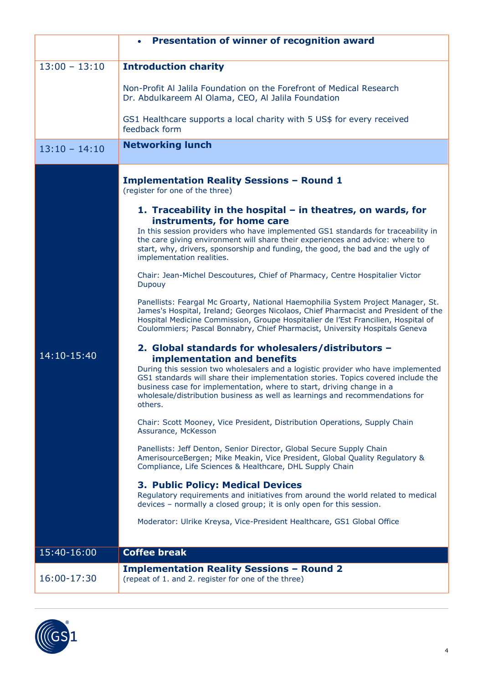|                 | Presentation of winner of recognition award<br>$\bullet$                                                                                                                                                                                                                                                                                                                        |
|-----------------|---------------------------------------------------------------------------------------------------------------------------------------------------------------------------------------------------------------------------------------------------------------------------------------------------------------------------------------------------------------------------------|
|                 |                                                                                                                                                                                                                                                                                                                                                                                 |
| $13:00 - 13:10$ | <b>Introduction charity</b>                                                                                                                                                                                                                                                                                                                                                     |
|                 | Non-Profit Al Jalila Foundation on the Forefront of Medical Research<br>Dr. Abdulkareem Al Olama, CEO, Al Jalila Foundation                                                                                                                                                                                                                                                     |
|                 | GS1 Healthcare supports a local charity with 5 US\$ for every received<br>feedback form                                                                                                                                                                                                                                                                                         |
| $13:10 - 14:10$ | <b>Networking lunch</b>                                                                                                                                                                                                                                                                                                                                                         |
|                 | <b>Implementation Reality Sessions - Round 1</b><br>(register for one of the three)<br>1. Traceability in the hospital $-$ in theatres, on wards, for<br>instruments, for home care<br>In this session providers who have implemented GS1 standards for traceability in<br>the care giving environment will share their experiences and advice: where to                        |
|                 | start, why, drivers, sponsorship and funding, the good, the bad and the ugly of<br>implementation realities.<br>Chair: Jean-Michel Descoutures, Chief of Pharmacy, Centre Hospitalier Victor                                                                                                                                                                                    |
|                 | Dupouy                                                                                                                                                                                                                                                                                                                                                                          |
|                 | Panellists: Feargal Mc Groarty, National Haemophilia System Project Manager, St.<br>James's Hospital, Ireland; Georges Nicolaos, Chief Pharmacist and President of the<br>Hospital Medicine Commission, Groupe Hospitalier de l'Est Francilien, Hospital of<br>Coulommiers; Pascal Bonnabry, Chief Pharmacist, University Hospitals Geneva                                      |
|                 | 2. Global standards for wholesalers/distributors -                                                                                                                                                                                                                                                                                                                              |
| 14:10-15:40     | <b>implementation and benefits</b><br>During this session two wholesalers and a logistic provider who have implemented<br>GS1 standards will share their implementation stories. Topics covered include the<br>business case for implementation, where to start, driving change in a<br>wholesale/distribution business as well as learnings and recommendations for<br>others. |
|                 | Chair: Scott Mooney, Vice President, Distribution Operations, Supply Chain<br>Assurance, McKesson                                                                                                                                                                                                                                                                               |
|                 | Panellists: Jeff Denton, Senior Director, Global Secure Supply Chain<br>AmerisourceBergen; Mike Meakin, Vice President, Global Quality Regulatory &<br>Compliance, Life Sciences & Healthcare, DHL Supply Chain                                                                                                                                                                 |
|                 | <b>3. Public Policy: Medical Devices</b><br>Regulatory requirements and initiatives from around the world related to medical<br>devices - normally a closed group; it is only open for this session.                                                                                                                                                                            |
|                 | Moderator: Ulrike Kreysa, Vice-President Healthcare, GS1 Global Office                                                                                                                                                                                                                                                                                                          |
| 15:40-16:00     | <b>Coffee break</b>                                                                                                                                                                                                                                                                                                                                                             |
|                 | <b>Implementation Reality Sessions - Round 2</b>                                                                                                                                                                                                                                                                                                                                |
| 16:00-17:30     | (repeat of 1. and 2. register for one of the three)                                                                                                                                                                                                                                                                                                                             |

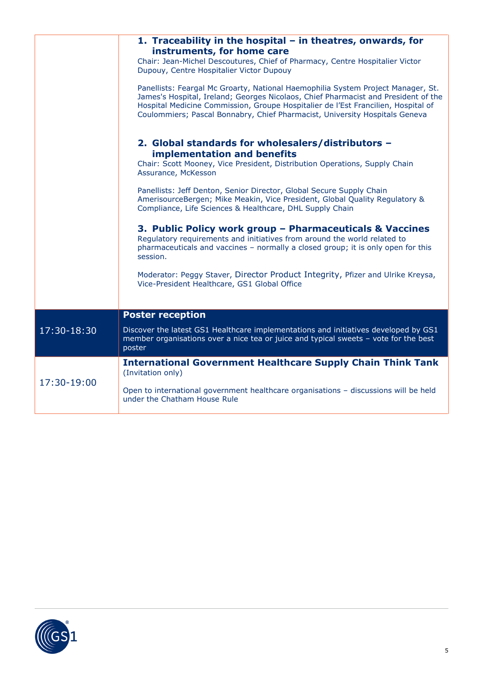|             | 1. Traceability in the hospital $-$ in theatres, onwards, for<br>instruments, for home care<br>Chair: Jean-Michel Descoutures, Chief of Pharmacy, Centre Hospitalier Victor<br>Dupouy, Centre Hospitalier Victor Dupouy<br>Panellists: Feargal Mc Groarty, National Haemophilia System Project Manager, St.<br>James's Hospital, Ireland; Georges Nicolaos, Chief Pharmacist and President of the |
|-------------|---------------------------------------------------------------------------------------------------------------------------------------------------------------------------------------------------------------------------------------------------------------------------------------------------------------------------------------------------------------------------------------------------|
|             | Hospital Medicine Commission, Groupe Hospitalier de l'Est Francilien, Hospital of<br>Coulommiers; Pascal Bonnabry, Chief Pharmacist, University Hospitals Geneva                                                                                                                                                                                                                                  |
|             | 2. Global standards for wholesalers/distributors -                                                                                                                                                                                                                                                                                                                                                |
|             | implementation and benefits<br>Chair: Scott Mooney, Vice President, Distribution Operations, Supply Chain<br>Assurance, McKesson                                                                                                                                                                                                                                                                  |
|             | Panellists: Jeff Denton, Senior Director, Global Secure Supply Chain<br>AmerisourceBergen; Mike Meakin, Vice President, Global Quality Regulatory &<br>Compliance, Life Sciences & Healthcare, DHL Supply Chain                                                                                                                                                                                   |
|             | 3. Public Policy work group - Pharmaceuticals & Vaccines<br>Regulatory requirements and initiatives from around the world related to<br>pharmaceuticals and vaccines - normally a closed group; it is only open for this<br>session.                                                                                                                                                              |
|             | Moderator: Peggy Staver, Director Product Integrity, Pfizer and Ulrike Kreysa,<br>Vice-President Healthcare, GS1 Global Office                                                                                                                                                                                                                                                                    |
|             | <b>Poster reception</b>                                                                                                                                                                                                                                                                                                                                                                           |
| 17:30-18:30 | Discover the latest GS1 Healthcare implementations and initiatives developed by GS1<br>member organisations over a nice tea or juice and typical sweets - vote for the best<br>poster                                                                                                                                                                                                             |
| 17:30-19:00 | <b>International Government Healthcare Supply Chain Think Tank</b><br>(Invitation only)                                                                                                                                                                                                                                                                                                           |
|             | Open to international government healthcare organisations - discussions will be held<br>under the Chatham House Rule                                                                                                                                                                                                                                                                              |

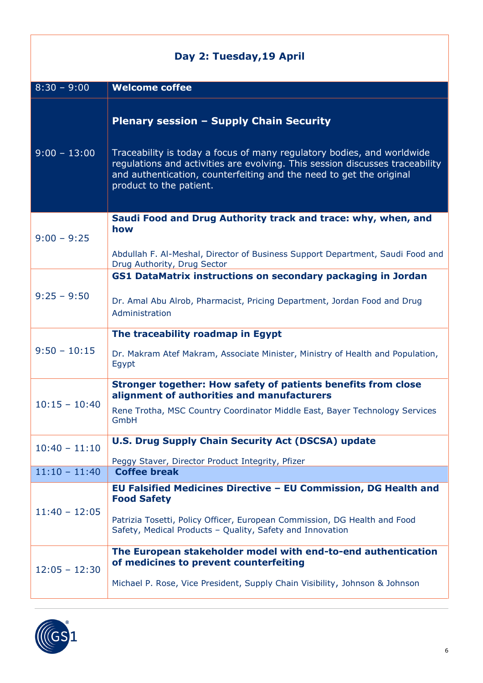| Day 2: Tuesday, 19 April |                                                                                                                                                                                                                                                          |
|--------------------------|----------------------------------------------------------------------------------------------------------------------------------------------------------------------------------------------------------------------------------------------------------|
| $8:30 - 9:00$            | <b>Welcome coffee</b>                                                                                                                                                                                                                                    |
|                          | <b>Plenary session - Supply Chain Security</b>                                                                                                                                                                                                           |
| $9:00 - 13:00$           | Traceability is today a focus of many regulatory bodies, and worldwide<br>regulations and activities are evolving. This session discusses traceability<br>and authentication, counterfeiting and the need to get the original<br>product to the patient. |
|                          | Saudi Food and Drug Authority track and trace: why, when, and<br>how                                                                                                                                                                                     |
| $9:00 - 9:25$            | Abdullah F. Al-Meshal, Director of Business Support Department, Saudi Food and<br>Drug Authority, Drug Sector                                                                                                                                            |
|                          | GS1 DataMatrix instructions on secondary packaging in Jordan                                                                                                                                                                                             |
| $9:25 - 9:50$            | Dr. Amal Abu Alrob, Pharmacist, Pricing Department, Jordan Food and Drug<br>Administration                                                                                                                                                               |
|                          | The traceability roadmap in Egypt                                                                                                                                                                                                                        |
| $9:50 - 10:15$           | Dr. Makram Atef Makram, Associate Minister, Ministry of Health and Population,<br>Egypt                                                                                                                                                                  |
| $10:15 - 10:40$          | Stronger together: How safety of patients benefits from close<br>alignment of authorities and manufacturers                                                                                                                                              |
|                          | Rene Trotha, MSC Country Coordinator Middle East, Bayer Technology Services<br>GmbH                                                                                                                                                                      |
| $10:40 - 11:10$          | <b>U.S. Drug Supply Chain Security Act (DSCSA) update</b><br>Peggy Staver, Director Product Integrity, Pfizer                                                                                                                                            |
| $11:10 - 11:40$          | <b>Coffee break</b>                                                                                                                                                                                                                                      |
| $11:40 - 12:05$          | EU Falsified Medicines Directive - EU Commission, DG Health and<br><b>Food Safety</b>                                                                                                                                                                    |
|                          | Patrizia Tosetti, Policy Officer, European Commission, DG Health and Food<br>Safety, Medical Products - Quality, Safety and Innovation                                                                                                                   |
| $12:05 - 12:30$          | The European stakeholder model with end-to-end authentication<br>of medicines to prevent counterfeiting                                                                                                                                                  |
|                          | Michael P. Rose, Vice President, Supply Chain Visibility, Johnson & Johnson                                                                                                                                                                              |



I

1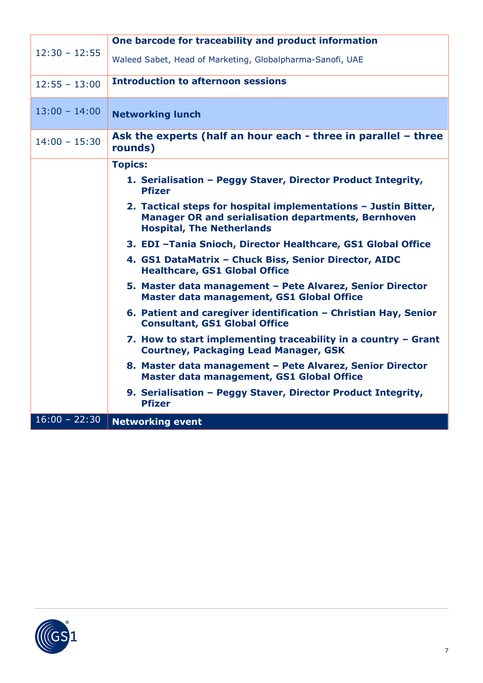| $12:30 - 12:55$ | One barcode for traceability and product information                                                                                                              |
|-----------------|-------------------------------------------------------------------------------------------------------------------------------------------------------------------|
|                 | Waleed Sabet, Head of Marketing, Globalpharma-Sanofi, UAE                                                                                                         |
| $12:55 - 13:00$ | <b>Introduction to afternoon sessions</b>                                                                                                                         |
| $13:00 - 14:00$ | <b>Networking lunch</b>                                                                                                                                           |
|                 |                                                                                                                                                                   |
| $14:00 - 15:30$ | Ask the experts (half an hour each - three in parallel - three<br>rounds)                                                                                         |
|                 | <b>Topics:</b>                                                                                                                                                    |
|                 | 1. Serialisation - Peggy Staver, Director Product Integrity,<br><b>Pfizer</b>                                                                                     |
|                 | 2. Tactical steps for hospital implementations - Justin Bitter,<br><b>Manager OR and serialisation departments, Bernhoven</b><br><b>Hospital, The Netherlands</b> |
|                 | 3. EDI - Tania Snioch, Director Healthcare, GS1 Global Office                                                                                                     |
|                 | 4. GS1 DataMatrix - Chuck Biss, Senior Director, AIDC<br><b>Healthcare, GS1 Global Office</b>                                                                     |
|                 | 5. Master data management - Pete Alvarez, Senior Director<br>Master data management, GS1 Global Office                                                            |
|                 | 6. Patient and caregiver identification - Christian Hay, Senior<br><b>Consultant, GS1 Global Office</b>                                                           |
|                 | 7. How to start implementing traceability in a country - Grant<br><b>Courtney, Packaging Lead Manager, GSK</b>                                                    |
|                 | 8. Master data management - Pete Alvarez, Senior Director<br>Master data management, GS1 Global Office                                                            |
|                 | 9. Serialisation - Peggy Staver, Director Product Integrity,<br><b>Pfizer</b>                                                                                     |
| $16:00 - 22:30$ | <b>Networking event</b>                                                                                                                                           |

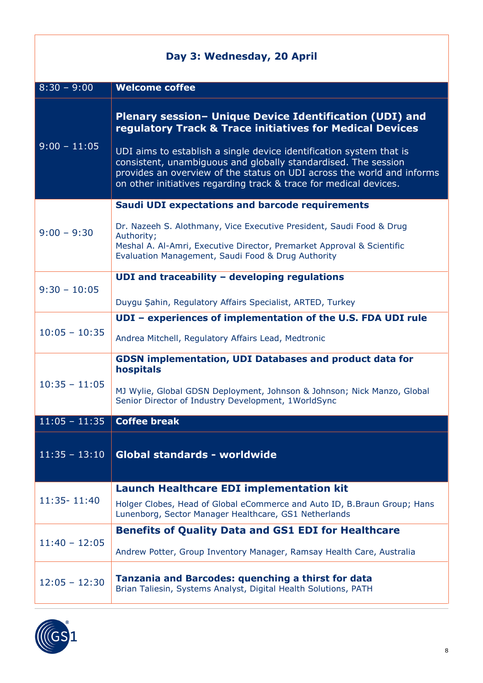| Day 3: Wednesday, 20 April |                                                                                                                                                                                                                                                                                      |
|----------------------------|--------------------------------------------------------------------------------------------------------------------------------------------------------------------------------------------------------------------------------------------------------------------------------------|
| $8:30 - 9:00$              | <b>Welcome coffee</b>                                                                                                                                                                                                                                                                |
|                            | Plenary session- Unique Device Identification (UDI) and<br>regulatory Track & Trace initiatives for Medical Devices                                                                                                                                                                  |
| $9:00 - 11:05$             | UDI aims to establish a single device identification system that is<br>consistent, unambiguous and globally standardised. The session<br>provides an overview of the status on UDI across the world and informs<br>on other initiatives regarding track & trace for medical devices. |
|                            | <b>Saudi UDI expectations and barcode requirements</b>                                                                                                                                                                                                                               |
| $9:00 - 9:30$              | Dr. Nazeeh S. Alothmany, Vice Executive President, Saudi Food & Drug<br>Authority;<br>Meshal A. Al-Amri, Executive Director, Premarket Approval & Scientific<br>Evaluation Management, Saudi Food & Drug Authority                                                                   |
|                            |                                                                                                                                                                                                                                                                                      |
| $9:30 - 10:05$             | UDI and traceability $-$ developing regulations                                                                                                                                                                                                                                      |
|                            | Duygu Şahin, Regulatory Affairs Specialist, ARTED, Turkey                                                                                                                                                                                                                            |
|                            | UDI - experiences of implementation of the U.S. FDA UDI rule                                                                                                                                                                                                                         |
| $10:05 - 10:35$            | Andrea Mitchell, Regulatory Affairs Lead, Medtronic                                                                                                                                                                                                                                  |
|                            | <b>GDSN implementation, UDI Databases and product data for</b><br>hospitals                                                                                                                                                                                                          |
| $10:35 - 11:05$            | MJ Wylie, Global GDSN Deployment, Johnson & Johnson; Nick Manzo, Global<br>Senior Director of Industry Development, 1WorldSync                                                                                                                                                       |
| $11:05 - 11:35$            | <b>Coffee break</b>                                                                                                                                                                                                                                                                  |
| $11:35 - 13:10$            | Global standards - worldwide                                                                                                                                                                                                                                                         |
|                            | <b>Launch Healthcare EDI implementation kit</b>                                                                                                                                                                                                                                      |
| 11:35-11:40                | Holger Clobes, Head of Global eCommerce and Auto ID, B. Braun Group; Hans<br>Lunenborg, Sector Manager Healthcare, GS1 Netherlands                                                                                                                                                   |
| $11:40 - 12:05$            | <b>Benefits of Quality Data and GS1 EDI for Healthcare</b>                                                                                                                                                                                                                           |
|                            | Andrew Potter, Group Inventory Manager, Ramsay Health Care, Australia                                                                                                                                                                                                                |
| $12:05 - 12:30$            | <b>Tanzania and Barcodes: quenching a thirst for data</b><br>Brian Taliesin, Systems Analyst, Digital Health Solutions, PATH                                                                                                                                                         |